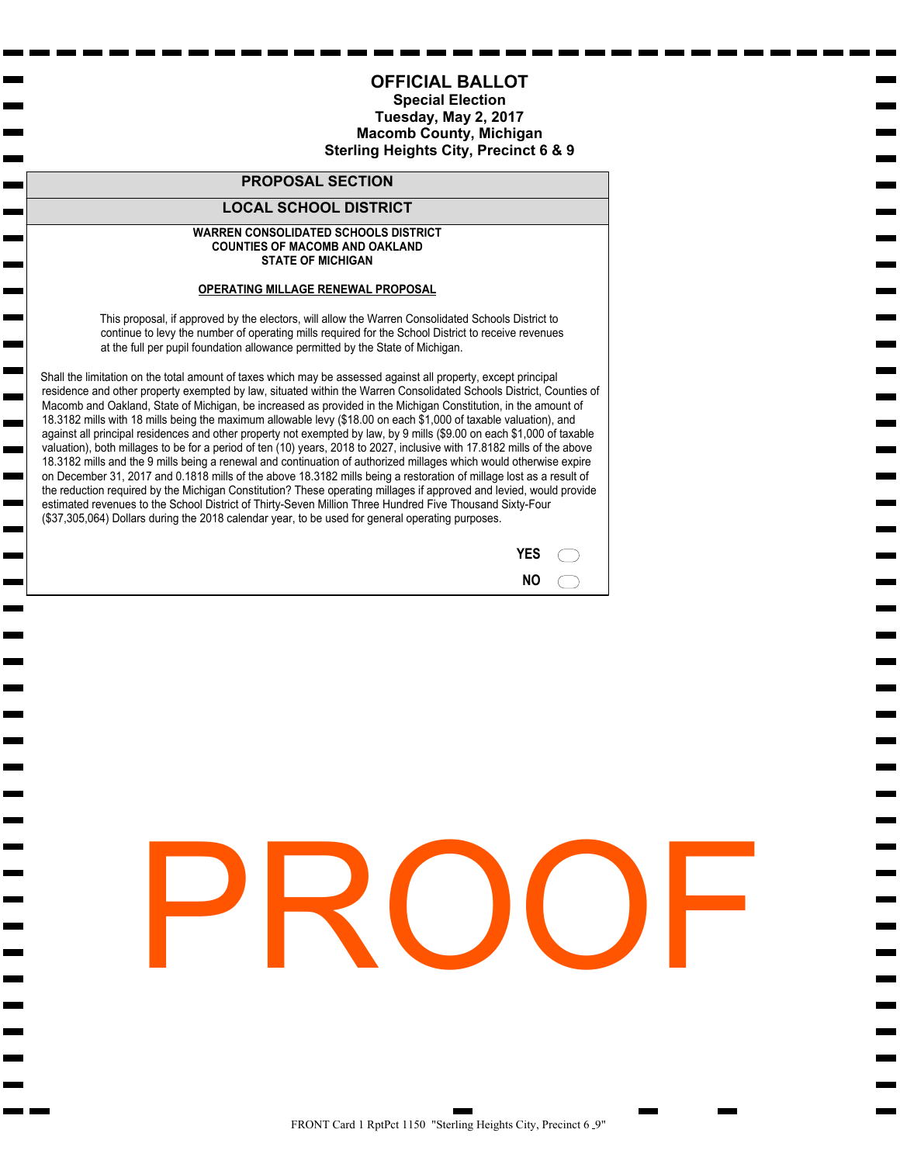## **AMENDED**

### **(New Meeting Location)**

### **MACOMB COUNTY ELECTION COMMISSION SPECIAL MEETING March 6, 2017**

*Circuit Court Building 40 N. Main St. Court Administrator's Conference Rooms B & C – 5th Floor 1:30 p.m.* 

### **AGENDA**

- I. Call to Order
- II. Adoption of Agenda
- III. Public Participation (3 minutes per speaker or longer at discretion of Chairperson)
- IV. Approve Minutes from September 9, 2016 Election Commission Meeting
- V. Approve Ballots for May 2, 2017 Election (Anchor Bay School District, Center Line Public Schools, Chippewa Valley Schools, Fraser Public Schools, New Haven Community Schools, Warren Consolidated Schools)
- VI. Old Business
- VII. New Business
- VIII. Adjournment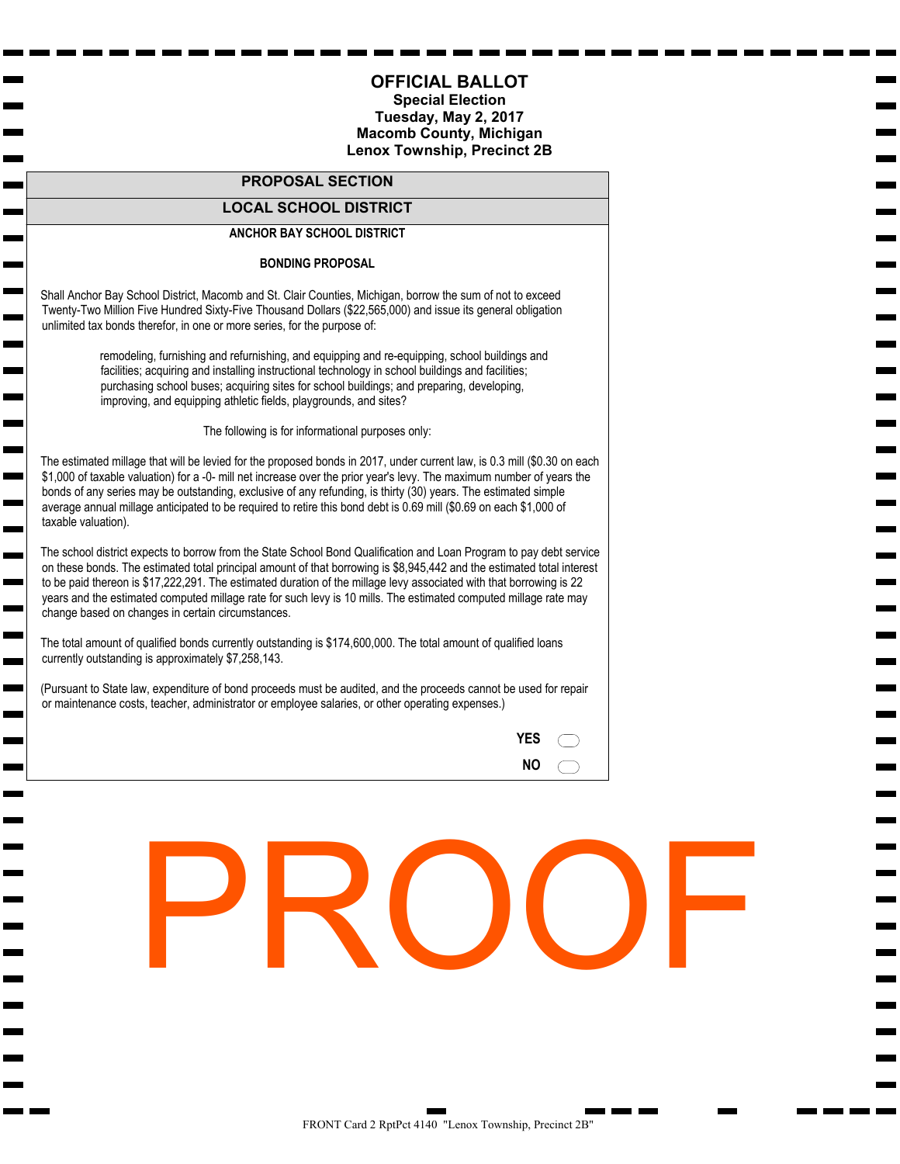#### **Special Election Tuesday, May 2, 2017 Macomb County, Michigan Chesterfield Township, Precinct 1**

#### **PROPOSAL SECTION**

#### **LOCAL SCHOOL DISTRICT**

#### **ANCHOR BAY SCHOOL DISTRICT**

#### **BONDING PROPOSAL**

 Shall Anchor Bay School District, Macomb and St. Clair Counties, Michigan, borrow the sum of not to exceed Twenty-Two Million Five Hundred Sixty-Five Thousand Dollars (\$22,565,000) and issue its general obligation unlimited tax bonds therefor, in one or more series, for the purpose of:

m.

**College** 

m.

ш **Contract** 

 $\blacksquare$  $\mathbf{r}$ **Contract** m.  remodeling, furnishing and refurnishing, and equipping and re-equipping, school buildings and facilities; acquiring and installing instructional technology in school buildings and facilities; purchasing school buses; acquiring sites for school buildings; and preparing, developing, improving, and equipping athletic fields, playgrounds, and sites?

The following is for informational purposes only:

 The estimated millage that will be levied for the proposed bonds in 2017, under current law, is 0.3 mill (\$0.30 on each \$1,000 of taxable valuation) for a -0- mill net increase over the prior year's levy. The maximum number of years the bonds of any series may be outstanding, exclusive of any refunding, is thirty (30) years. The estimated simple average annual millage anticipated to be required to retire this bond debt is 0.69 mill (\$0.69 on each \$1,000 of taxable valuation).

 The school district expects to borrow from the State School Bond Qualification and Loan Program to pay debt service on these bonds. The estimated total principal amount of that borrowing is \$8,945,442 and the estimated total interest to be paid thereon is \$17,222,291. The estimated duration of the millage levy associated with that borrowing is 22 years and the estimated computed millage rate for such levy is 10 mills. The estimated computed millage rate may change based on changes in certain circumstances.

 The total amount of qualified bonds currently outstanding is \$174,600,000. The total amount of qualified loans currently outstanding is approximately \$7,258,143.

 (Pursuant to State law, expenditure of bond proceeds must be audited, and the proceeds cannot be used for repair or maintenance costs, teacher, administrator or employee salaries, or other operating expenses.)



**YES NO**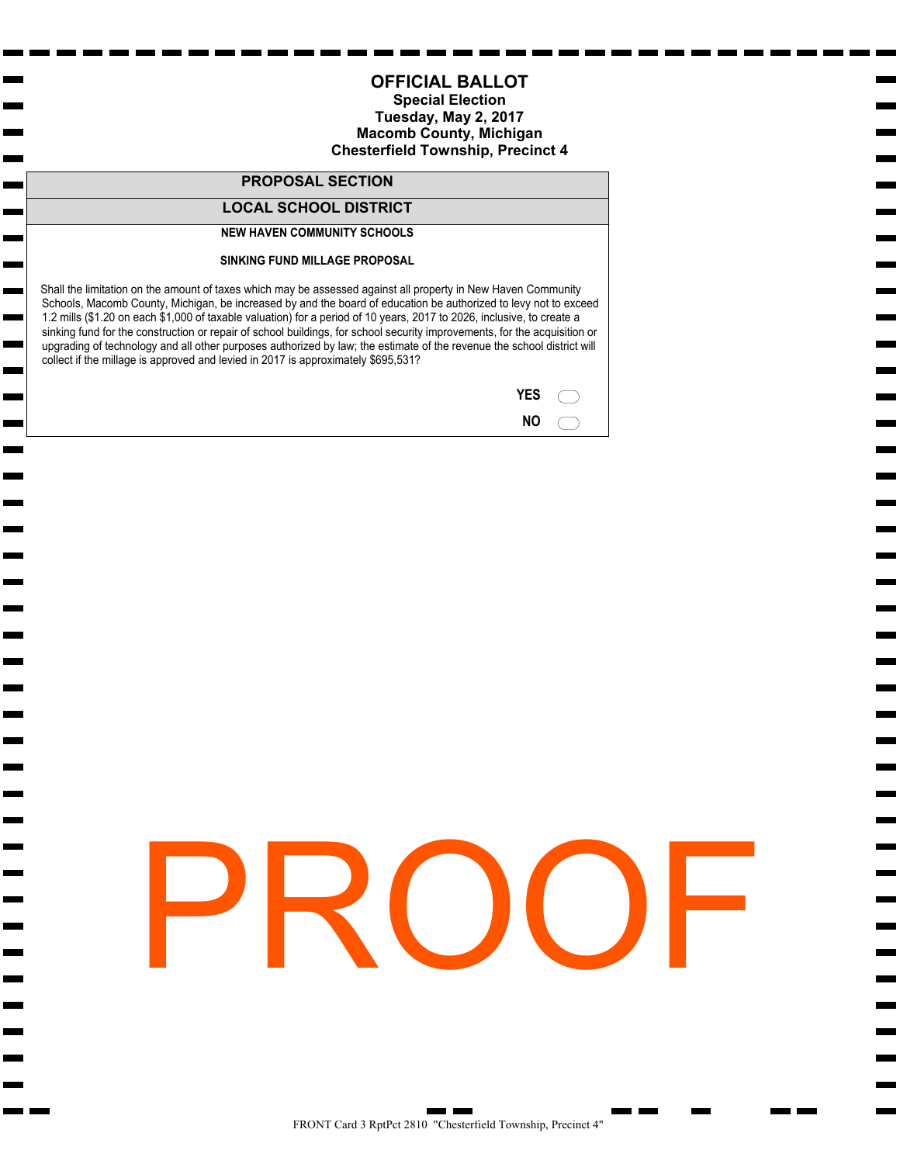#### **Special Election Tuesday, May 2, 2017 Macomb County, Michigan Lenox Township, Precinct 2B**

#### **PROPOSAL SECTION**

#### **LOCAL SCHOOL DISTRICT**

#### **ANCHOR BAY SCHOOL DISTRICT**

#### **BONDING PROPOSAL**

 Shall Anchor Bay School District, Macomb and St. Clair Counties, Michigan, borrow the sum of not to exceed Twenty-Two Million Five Hundred Sixty-Five Thousand Dollars (\$22,565,000) and issue its general obligation unlimited tax bonds therefor, in one or more series, for the purpose of:

 $\sim$ 

**College** 

m.

ш **Contract** 

 $\blacksquare$  $\mathbf{r}$ **Contract** m.  remodeling, furnishing and refurnishing, and equipping and re-equipping, school buildings and facilities; acquiring and installing instructional technology in school buildings and facilities; purchasing school buses; acquiring sites for school buildings; and preparing, developing, improving, and equipping athletic fields, playgrounds, and sites?

The following is for informational purposes only:

 The estimated millage that will be levied for the proposed bonds in 2017, under current law, is 0.3 mill (\$0.30 on each \$1,000 of taxable valuation) for a -0- mill net increase over the prior year's levy. The maximum number of years the bonds of any series may be outstanding, exclusive of any refunding, is thirty (30) years. The estimated simple average annual millage anticipated to be required to retire this bond debt is 0.69 mill (\$0.69 on each \$1,000 of taxable valuation).

 The school district expects to borrow from the State School Bond Qualification and Loan Program to pay debt service on these bonds. The estimated total principal amount of that borrowing is \$8,945,442 and the estimated total interest to be paid thereon is \$17,222,291. The estimated duration of the millage levy associated with that borrowing is 22 years and the estimated computed millage rate for such levy is 10 mills. The estimated computed millage rate may change based on changes in certain circumstances.

 The total amount of qualified bonds currently outstanding is \$174,600,000. The total amount of qualified loans currently outstanding is approximately \$7,258,143.

 (Pursuant to State law, expenditure of bond proceeds must be audited, and the proceeds cannot be used for repair or maintenance costs, teacher, administrator or employee salaries, or other operating expenses.)

| YES |  |
|-----|--|
| ΝO  |  |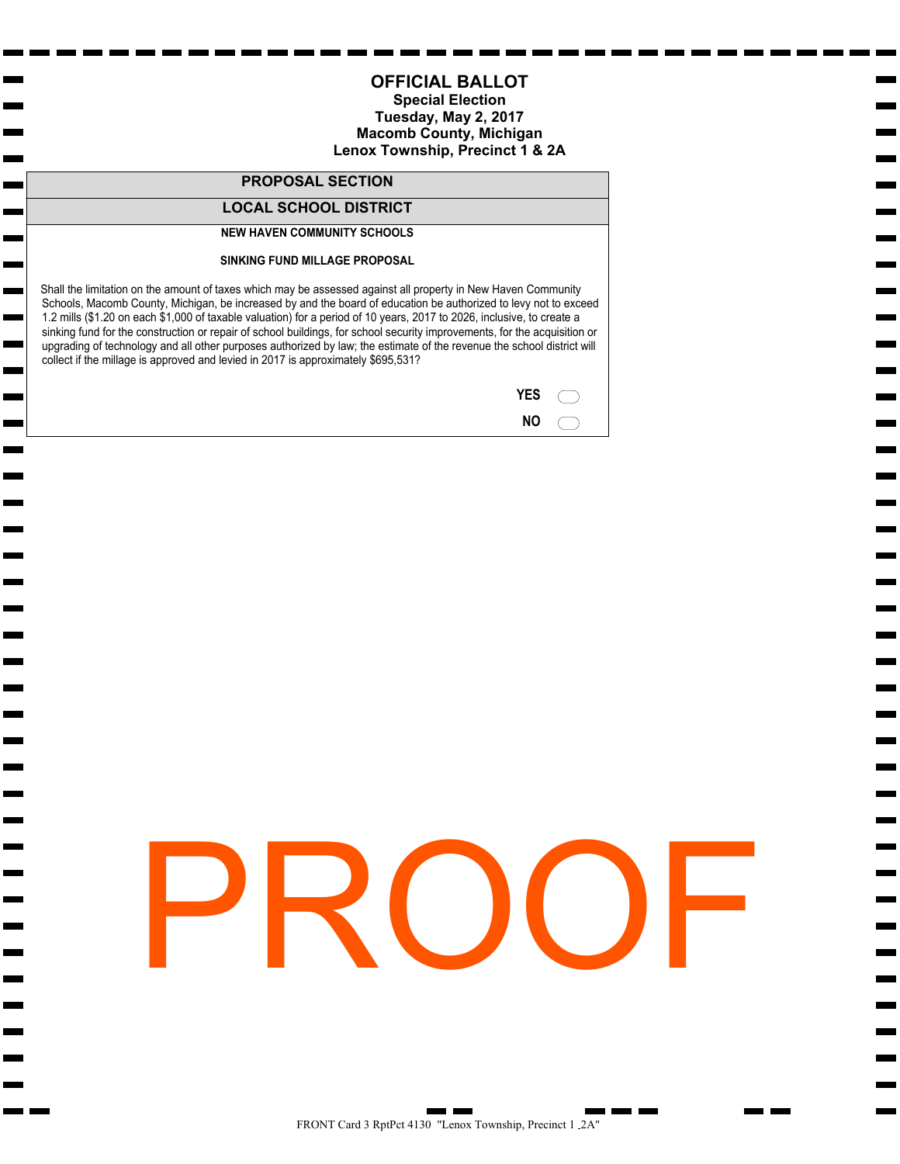#### **Special Election Tuesday, May 2, 2017 Macomb County, Michigan Chesterfield Township, Precinct 4**

#### **PROPOSAL SECTION**

#### **LOCAL SCHOOL DISTRICT**

#### **NEW HAVEN COMMUNITY SCHOOLS**

**The Second** 

 $\mathbf{r}$ Н  $\mathbf{r}$ г

m.

 $\blacksquare$ 

#### **SINKING FUND MILLAGE PROPOSAL**

 Shall the limitation on the amount of taxes which may be assessed against all property in New Haven Community Schools, Macomb County, Michigan, be increased by and the board of education be authorized to levy not to exceed 1.2 mills (\$1.20 on each \$1,000 of taxable valuation) for a period of 10 years, 2017 to 2026, inclusive, to create a sinking fund for the construction or repair of school buildings, for school security improvements, for the acquisition or upgrading of technology and all other purposes authorized by law; the estimate of the revenue the school district will collect if the millage is approved and levied in 2017 is approximately \$695,531?

| <b>YES</b> |  |
|------------|--|
| ΝO         |  |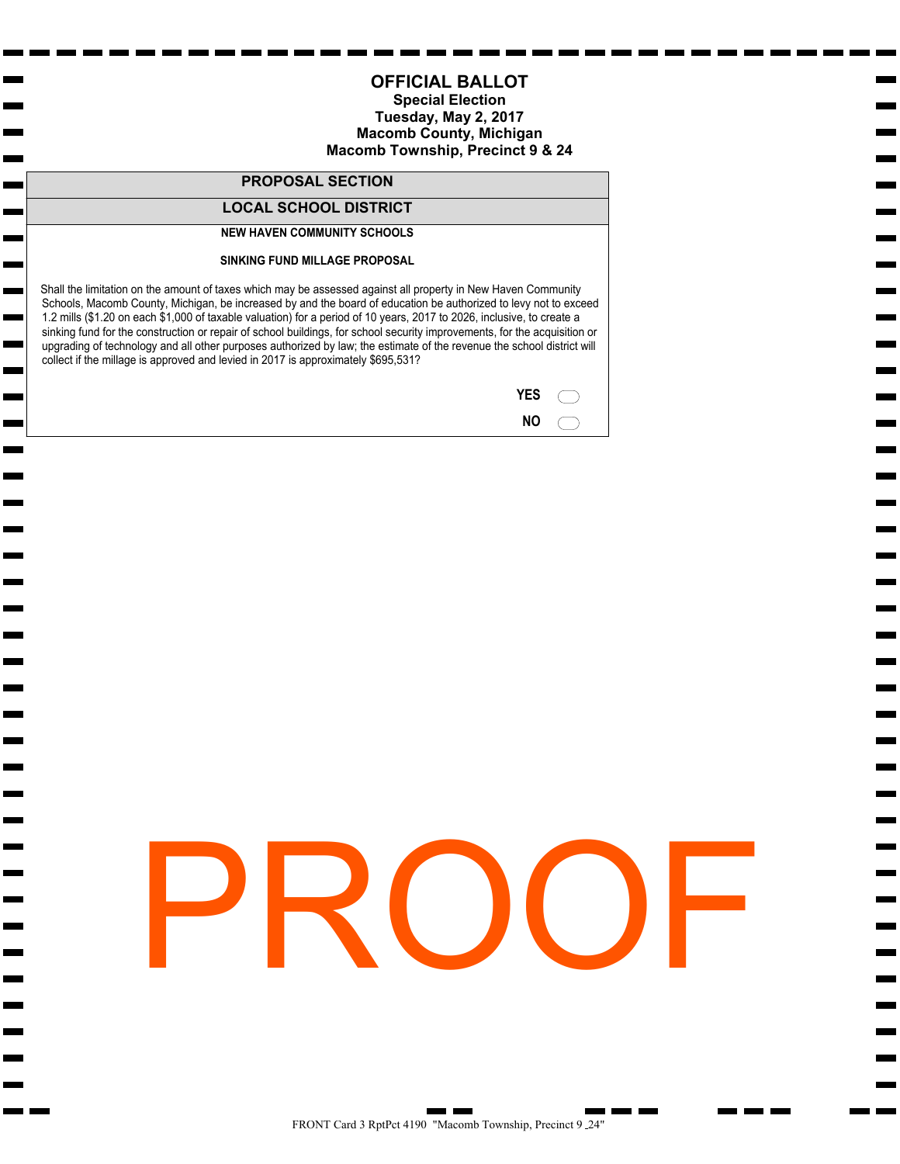#### **Special Election Tuesday, May 2, 2017 Macomb County, Michigan Lenox Township, Precinct 1 & 2A**

#### **PROPOSAL SECTION**

#### **LOCAL SCHOOL DISTRICT**

#### **NEW HAVEN COMMUNITY SCHOOLS**

**The Second** 

 $\mathbf{r}$ ь  $\mathbf{r}$ г

m.

m.

 $\blacksquare$ 

#### **SINKING FUND MILLAGE PROPOSAL**

 Shall the limitation on the amount of taxes which may be assessed against all property in New Haven Community Schools, Macomb County, Michigan, be increased by and the board of education be authorized to levy not to exceed 1.2 mills (\$1.20 on each \$1,000 of taxable valuation) for a period of 10 years, 2017 to 2026, inclusive, to create a sinking fund for the construction or repair of school buildings, for school security improvements, for the acquisition or upgrading of technology and all other purposes authorized by law; the estimate of the revenue the school district will collect if the millage is approved and levied in 2017 is approximately \$695,531?

| YES |  |
|-----|--|
| ΝO  |  |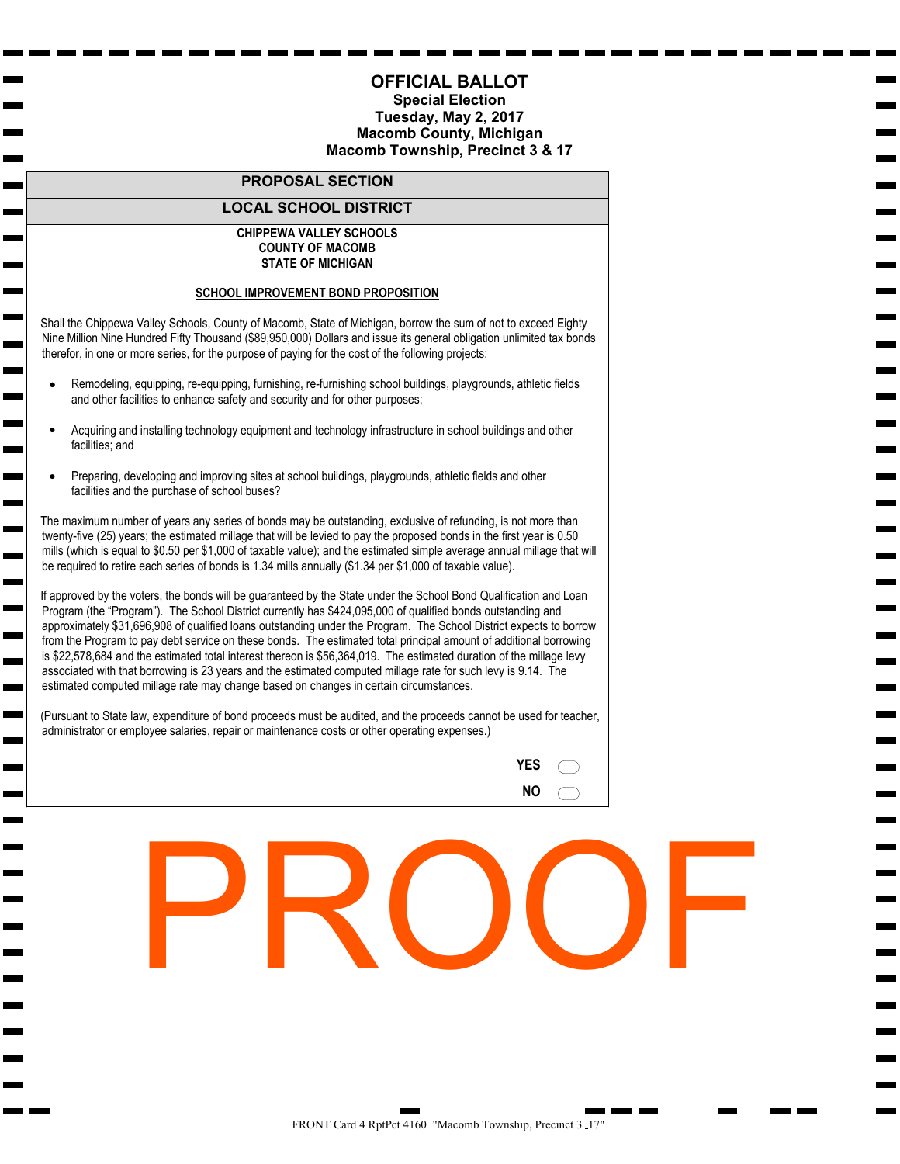#### **OFFICIAL BALLOT Special Election**

#### **Tuesday, May 2, 2017 Macomb County, Michigan Macomb Township, Precinct 9 & 24**

#### **PROPOSAL SECTION**

#### **LOCAL SCHOOL DISTRICT**

#### **NEW HAVEN COMMUNITY SCHOOLS**

**The Second** 

 $\mathbf{r}$ Н  $\mathbf{r}$ г

m.

 $\blacksquare$ 

#### **SINKING FUND MILLAGE PROPOSAL**

 Shall the limitation on the amount of taxes which may be assessed against all property in New Haven Community Schools, Macomb County, Michigan, be increased by and the board of education be authorized to levy not to exceed 1.2 mills (\$1.20 on each \$1,000 of taxable valuation) for a period of 10 years, 2017 to 2026, inclusive, to create a sinking fund for the construction or repair of school buildings, for school security improvements, for the acquisition or upgrading of technology and all other purposes authorized by law; the estimate of the revenue the school district will collect if the millage is approved and levied in 2017 is approximately \$695,531?

| <b>YES</b> |  |
|------------|--|
| <b>NO</b>  |  |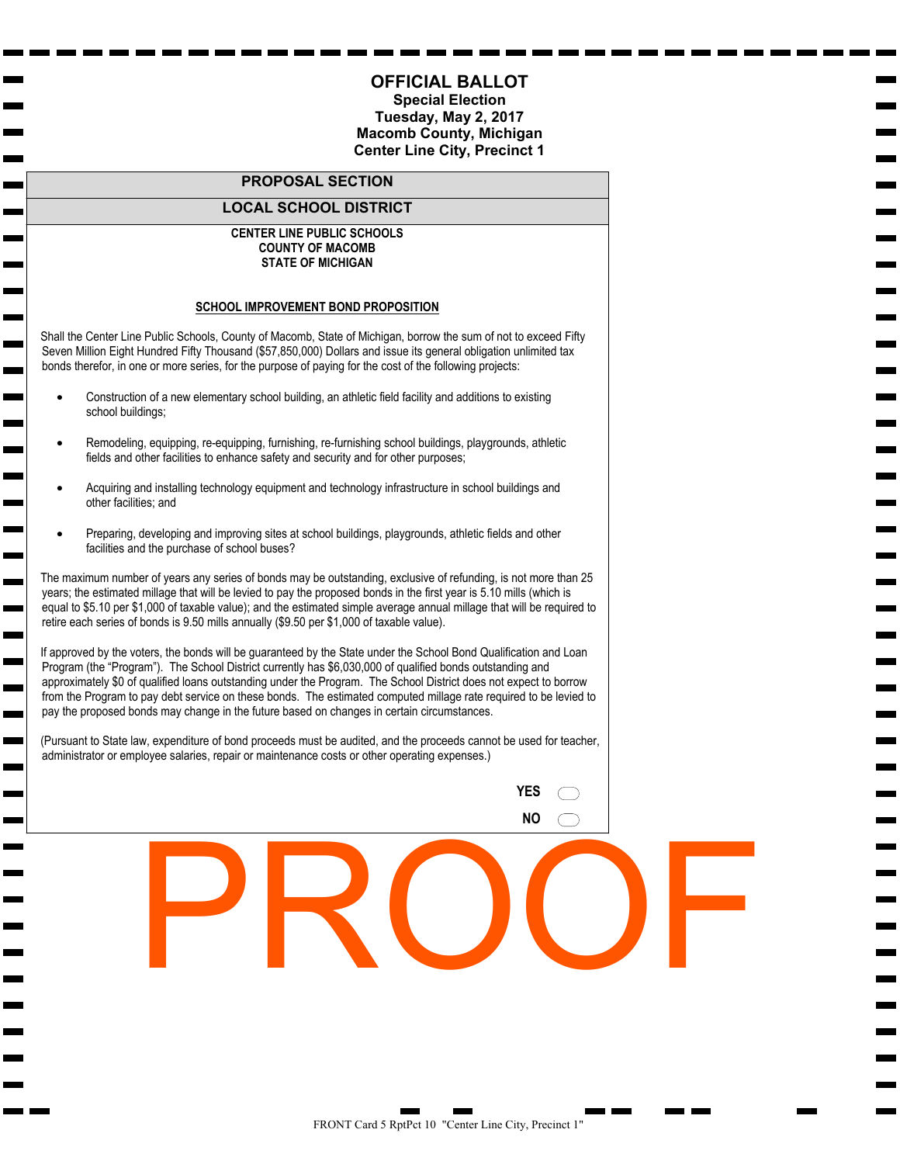#### **OFFICIAL BALLOT Special Election**

#### **Tuesday, May 2, 2017 Macomb County, Michigan Macomb Township, Precinct 3 & 17**

#### **PROPOSAL SECTION**

#### **LOCAL SCHOOL DISTRICT**

#### **CHIPPEWA VALLEY SCHOOLS COUNTY OF MACOMB STATE OF MICHIGAN**

#### **SCHOOL IMPROVEMENT BOND PROPOSITION**

m. ь

 $\overline{\phantom{a}}$ 

 $\overline{\phantom{0}}$ 

 $\blacksquare$ m. ь  $\blacksquare$ 

 Shall the Chippewa Valley Schools, County of Macomb, State of Michigan, borrow the sum of not to exceed Eighty Nine Million Nine Hundred Fifty Thousand (\$89,950,000) Dollars and issue its general obligation unlimited tax bonds therefor, in one or more series, for the purpose of paying for the cost of the following projects:

- Remodeling, equipping, re-equipping, furnishing, re-furnishing school buildings, playgrounds, athletic fields and other facilities to enhance safety and security and for other purposes;
- Acquiring and installing technology equipment and technology infrastructure in school buildings and other facilities; and
- Preparing, developing and improving sites at school buildings, playgrounds, athletic fields and other facilities and the purchase of school buses?

 The maximum number of years any series of bonds may be outstanding, exclusive of refunding, is not more than twenty-five (25) years; the estimated millage that will be levied to pay the proposed bonds in the first year is 0.50 mills (which is equal to \$0.50 per \$1,000 of taxable value); and the estimated simple average annual millage that will be required to retire each series of bonds is 1.34 mills annually (\$1.34 per \$1,000 of taxable value).

 If approved by the voters, the bonds will be guaranteed by the State under the School Bond Qualification and Loan Program (the "Program"). The School District currently has \$424,095,000 of qualified bonds outstanding and approximately \$31,696,908 of qualified loans outstanding under the Program. The School District expects to borrow from the Program to pay debt service on these bonds. The estimated total principal amount of additional borrowing is \$22,578,684 and the estimated total interest thereon is \$56,364,019. The estimated duration of the millage levy associated with that borrowing is 23 years and the estimated computed millage rate for such levy is 9.14. The estimated computed millage rate may change based on changes in certain circumstances.

 (Pursuant to State law, expenditure of bond proceeds must be audited, and the proceeds cannot be used for teacher, administrator or employee salaries, repair or maintenance costs or other operating expenses.)

| YES |  |
|-----|--|
| ΝO  |  |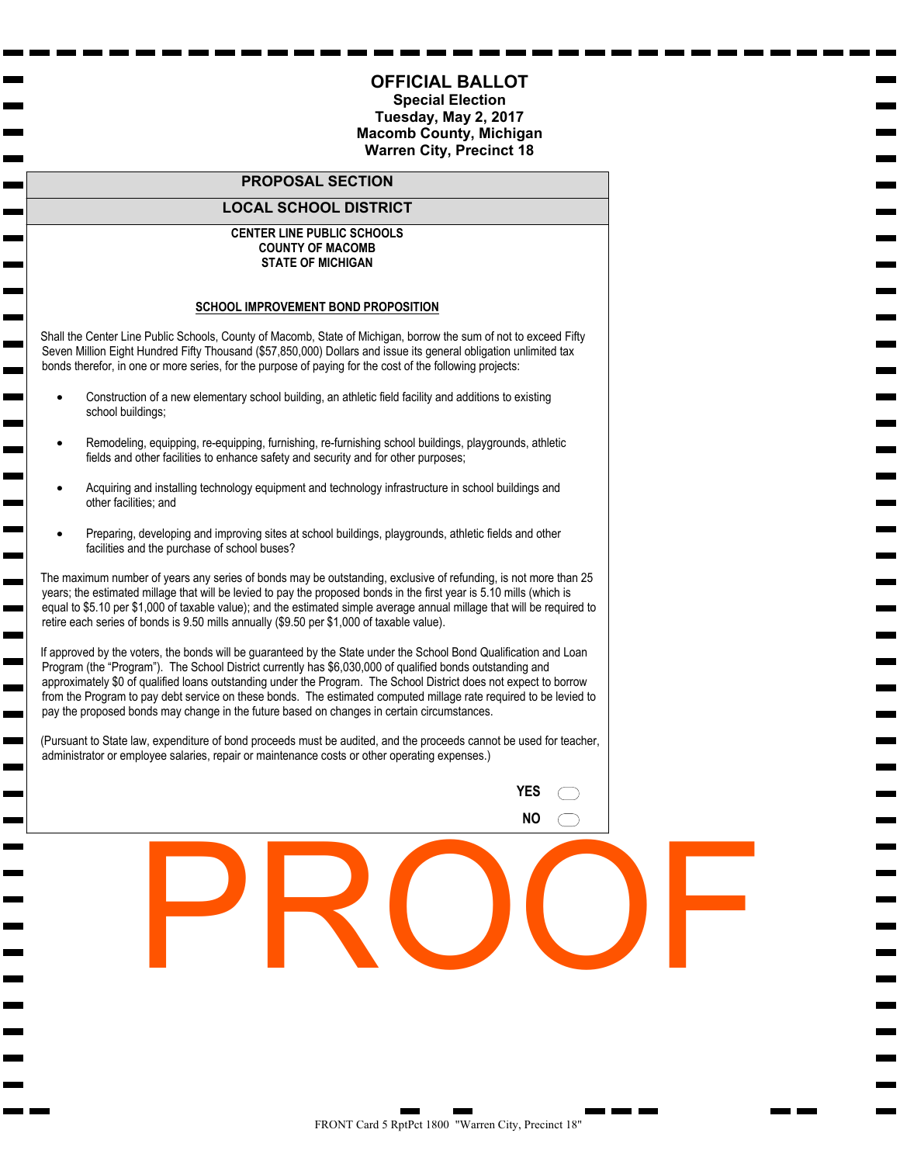#### **Special Election Tuesday, May 2, 2017 Macomb County, Michigan Center Line City, Precinct 1**

#### **PROPOSAL SECTION**

#### **LOCAL SCHOOL DISTRICT**

#### **CENTER LINE PUBLIC SCHOOLS COUNTY OF MACOMB STATE OF MICHIGAN**

#### **SCHOOL IMPROVEMENT BOND PROPOSITION**

 Shall the Center Line Public Schools, County of Macomb, State of Michigan, borrow the sum of not to exceed Fifty Seven Million Eight Hundred Fifty Thousand (\$57,850,000) Dollars and issue its general obligation unlimited tax bonds therefor, in one or more series, for the purpose of paying for the cost of the following projects:

• Construction of a new elementary school building, an athletic field facility and additions to existing school buildings;

man and the second second second second second second second second second second second second second second second second second second second second second second second second second second second second second second

**Contract** 

m. **The Second Service** ь  $\overline{\phantom{0}}$ 

m.

- Remodeling, equipping, re-equipping, furnishing, re-furnishing school buildings, playgrounds, athletic fields and other facilities to enhance safety and security and for other purposes;
- Acquiring and installing technology equipment and technology infrastructure in school buildings and other facilities; and
- Preparing, developing and improving sites at school buildings, playgrounds, athletic fields and other facilities and the purchase of school buses?

 The maximum number of years any series of bonds may be outstanding, exclusive of refunding, is not more than 25 years; the estimated millage that will be levied to pay the proposed bonds in the first year is 5.10 mills (which is equal to \$5.10 per \$1,000 of taxable value); and the estimated simple average annual millage that will be required to retire each series of bonds is 9.50 mills annually (\$9.50 per \$1,000 of taxable value).

 If approved by the voters, the bonds will be guaranteed by the State under the School Bond Qualification and Loan Program (the "Program"). The School District currently has \$6,030,000 of qualified bonds outstanding and approximately \$0 of qualified loans outstanding under the Program. The School District does not expect to borrow from the Program to pay debt service on these bonds. The estimated computed millage rate required to be levied to pay the proposed bonds may change in the future based on changes in certain circumstances.

 (Pursuant to State law, expenditure of bond proceeds must be audited, and the proceeds cannot be used for teacher, administrator or employee salaries, repair or maintenance costs or other operating expenses.)

| YES |  |
|-----|--|
| ΝO  |  |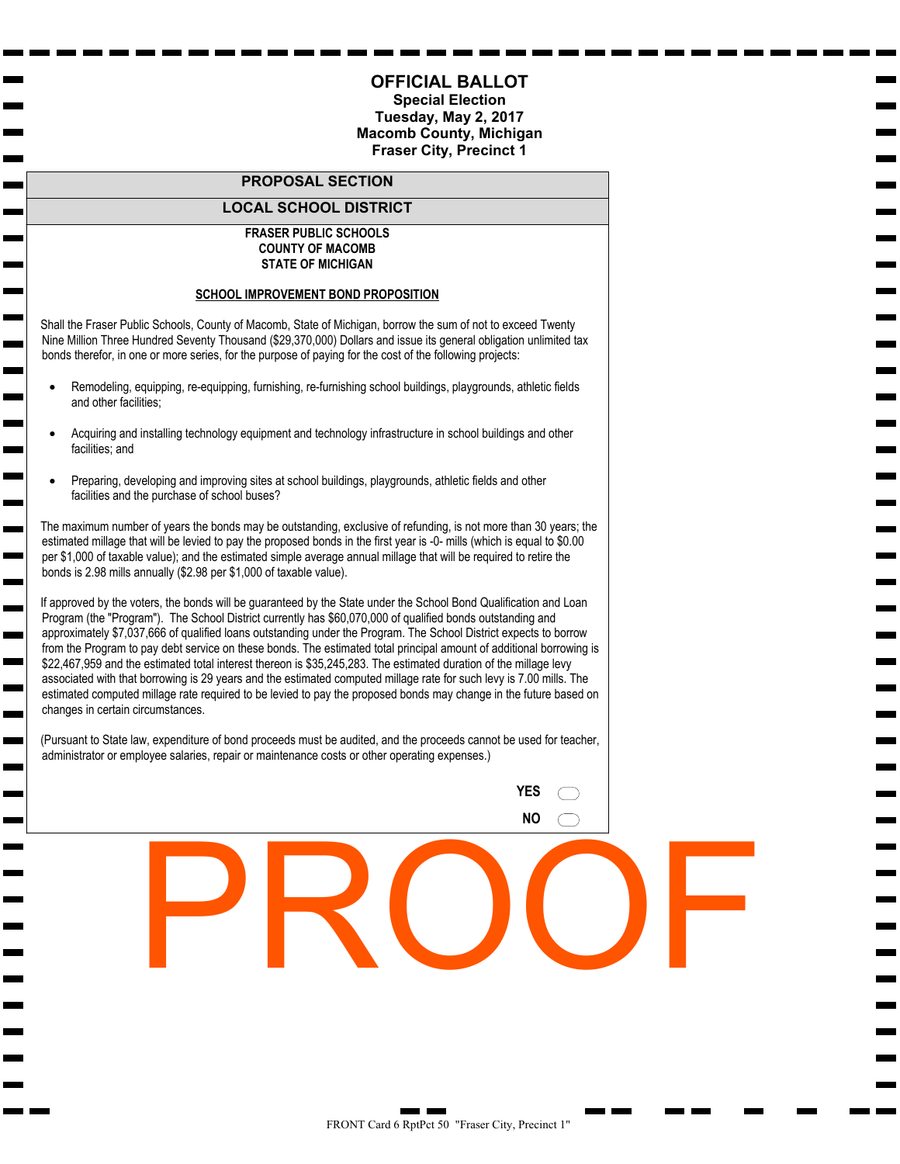#### **Special Election Tuesday, May 2, 2017 Macomb County, Michigan Warren City, Precinct 18**

#### **PROPOSAL SECTION**

#### **LOCAL SCHOOL DISTRICT**

#### **CENTER LINE PUBLIC SCHOOLS COUNTY OF MACOMB STATE OF MICHIGAN**

#### **SCHOOL IMPROVEMENT BOND PROPOSITION**

 Shall the Center Line Public Schools, County of Macomb, State of Michigan, borrow the sum of not to exceed Fifty Seven Million Eight Hundred Fifty Thousand (\$57,850,000) Dollars and issue its general obligation unlimited tax bonds therefor, in one or more series, for the purpose of paying for the cost of the following projects:

• Construction of a new elementary school building, an athletic field facility and additions to existing school buildings;

man and the second second second second second second second second second second second second second second second second second second second second second second second second second second second second second second

**Contract** 

m. **The Second Service**  $\overline{\phantom{a}}$  $\overline{\phantom{0}}$ 

m.

- Remodeling, equipping, re-equipping, furnishing, re-furnishing school buildings, playgrounds, athletic fields and other facilities to enhance safety and security and for other purposes;
- Acquiring and installing technology equipment and technology infrastructure in school buildings and other facilities; and
- Preparing, developing and improving sites at school buildings, playgrounds, athletic fields and other facilities and the purchase of school buses?

 The maximum number of years any series of bonds may be outstanding, exclusive of refunding, is not more than 25 years; the estimated millage that will be levied to pay the proposed bonds in the first year is 5.10 mills (which is equal to \$5.10 per \$1,000 of taxable value); and the estimated simple average annual millage that will be required to retire each series of bonds is 9.50 mills annually (\$9.50 per \$1,000 of taxable value).

 If approved by the voters, the bonds will be guaranteed by the State under the School Bond Qualification and Loan Program (the "Program"). The School District currently has \$6,030,000 of qualified bonds outstanding and approximately \$0 of qualified loans outstanding under the Program. The School District does not expect to borrow from the Program to pay debt service on these bonds. The estimated computed millage rate required to be levied to pay the proposed bonds may change in the future based on changes in certain circumstances.

 (Pursuant to State law, expenditure of bond proceeds must be audited, and the proceeds cannot be used for teacher, administrator or employee salaries, repair or maintenance costs or other operating expenses.)

| YES |  |
|-----|--|
| ΝO  |  |

FRONT Card 5 RptPct 1800 "Warren City, Precinct 18"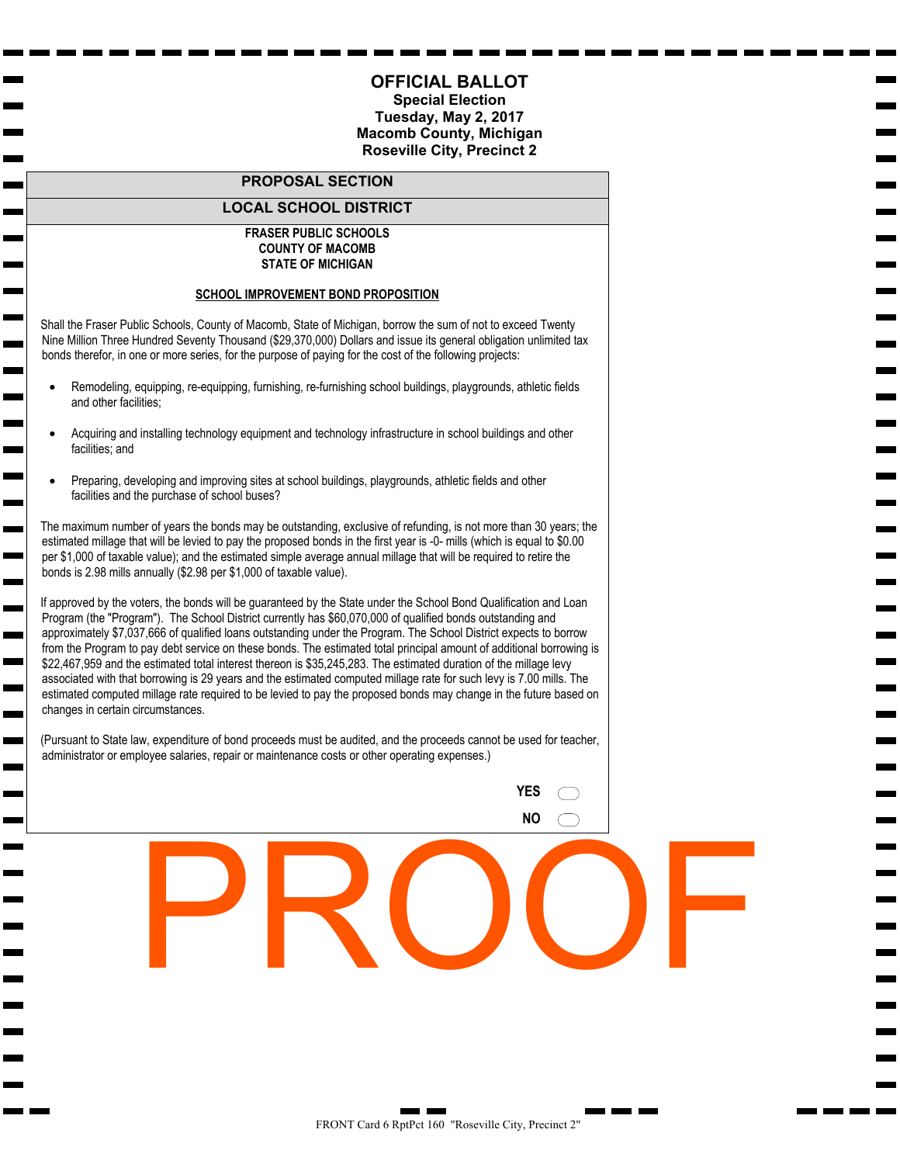**Special Election Tuesday, May 2, 2017 Macomb County, Michigan Fraser City, Precinct 1**

#### **PROPOSAL SECTION**

#### **LOCAL SCHOOL DISTRICT**

#### **FRASER PUBLIC SCHOOLS COUNTY OF MACOMB STATE OF MICHIGAN**

#### **SCHOOL IMPROVEMENT BOND PROPOSITION**

 Shall the Fraser Public Schools, County of Macomb, State of Michigan, borrow the sum of not to exceed Twenty Nine Million Three Hundred Seventy Thousand (\$29,370,000) Dollars and issue its general obligation unlimited tax bonds therefor, in one or more series, for the purpose of paying for the cost of the following projects:

 $\mathbf{r}$ **Contract Contract** 

 $\overline{\phantom{0}}$  $\overline{\phantom{a}}$ m. m.

 $\blacksquare$ **The Second** ь **Contract** 

m.

- Remodeling, equipping, re-equipping, furnishing, re-furnishing school buildings, playgrounds, athletic fields and other facilities;
- Acquiring and installing technology equipment and technology infrastructure in school buildings and other facilities; and
- Preparing, developing and improving sites at school buildings, playgrounds, athletic fields and other facilities and the purchase of school buses?

 The maximum number of years the bonds may be outstanding, exclusive of refunding, is not more than 30 years; the estimated millage that will be levied to pay the proposed bonds in the first year is -0- mills (which is equal to \$0.00 per \$1,000 of taxable value); and the estimated simple average annual millage that will be required to retire the bonds is 2.98 mills annually (\$2.98 per \$1,000 of taxable value).

 If approved by the voters, the bonds will be guaranteed by the State under the School Bond Qualification and Loan Program (the "Program"). The School District currently has \$60,070,000 of qualified bonds outstanding and approximately \$7,037,666 of qualified loans outstanding under the Program. The School District expects to borrow from the Program to pay debt service on these bonds. The estimated total principal amount of additional borrowing is \$22,467,959 and the estimated total interest thereon is \$35,245,283. The estimated duration of the millage levy associated with that borrowing is 29 years and the estimated computed millage rate for such levy is 7.00 mills. The estimated computed millage rate required to be levied to pay the proposed bonds may change in the future based on changes in certain circumstances.

 (Pursuant to State law, expenditure of bond proceeds must be audited, and the proceeds cannot be used for teacher, administrator or employee salaries, repair or maintenance costs or other operating expenses.)

> **YES NO**  $\subset$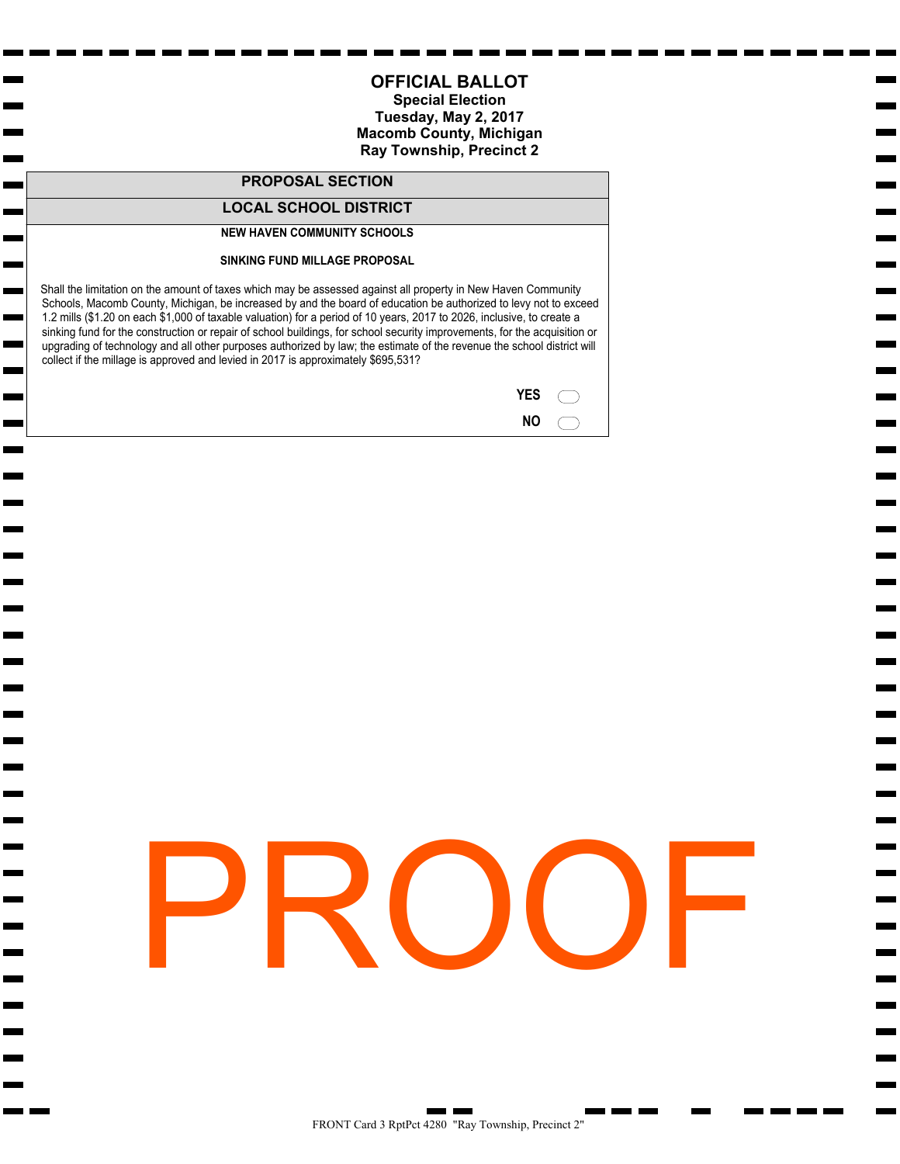**Special Election Tuesday, May 2, 2017 Macomb County, Michigan Roseville City, Precinct 2**

#### **PROPOSAL SECTION**

#### **LOCAL SCHOOL DISTRICT**

#### **FRASER PUBLIC SCHOOLS COUNTY OF MACOMB STATE OF MICHIGAN**

#### **SCHOOL IMPROVEMENT BOND PROPOSITION**

 Shall the Fraser Public Schools, County of Macomb, State of Michigan, borrow the sum of not to exceed Twenty Nine Million Three Hundred Seventy Thousand (\$29,370,000) Dollars and issue its general obligation unlimited tax bonds therefor, in one or more series, for the purpose of paying for the cost of the following projects:

 $\mathbf{r}$ **Contract Contract** 

 $\overline{\phantom{0}}$  $\overline{\phantom{a}}$ ш m.

 $\blacksquare$ **The Second** ь **Contract** 

m.

- Remodeling, equipping, re-equipping, furnishing, re-furnishing school buildings, playgrounds, athletic fields and other facilities;
- Acquiring and installing technology equipment and technology infrastructure in school buildings and other facilities; and
- Preparing, developing and improving sites at school buildings, playgrounds, athletic fields and other facilities and the purchase of school buses?

 The maximum number of years the bonds may be outstanding, exclusive of refunding, is not more than 30 years; the estimated millage that will be levied to pay the proposed bonds in the first year is -0- mills (which is equal to \$0.00 per \$1,000 of taxable value); and the estimated simple average annual millage that will be required to retire the bonds is 2.98 mills annually (\$2.98 per \$1,000 of taxable value).

 If approved by the voters, the bonds will be guaranteed by the State under the School Bond Qualification and Loan Program (the "Program"). The School District currently has \$60,070,000 of qualified bonds outstanding and approximately \$7,037,666 of qualified loans outstanding under the Program. The School District expects to borrow from the Program to pay debt service on these bonds. The estimated total principal amount of additional borrowing is \$22,467,959 and the estimated total interest thereon is \$35,245,283. The estimated duration of the millage levy associated with that borrowing is 29 years and the estimated computed millage rate for such levy is 7.00 mills. The estimated computed millage rate required to be levied to pay the proposed bonds may change in the future based on changes in certain circumstances.

 (Pursuant to State law, expenditure of bond proceeds must be audited, and the proceeds cannot be used for teacher, administrator or employee salaries, repair or maintenance costs or other operating expenses.)

> **YES NO**  $\subset$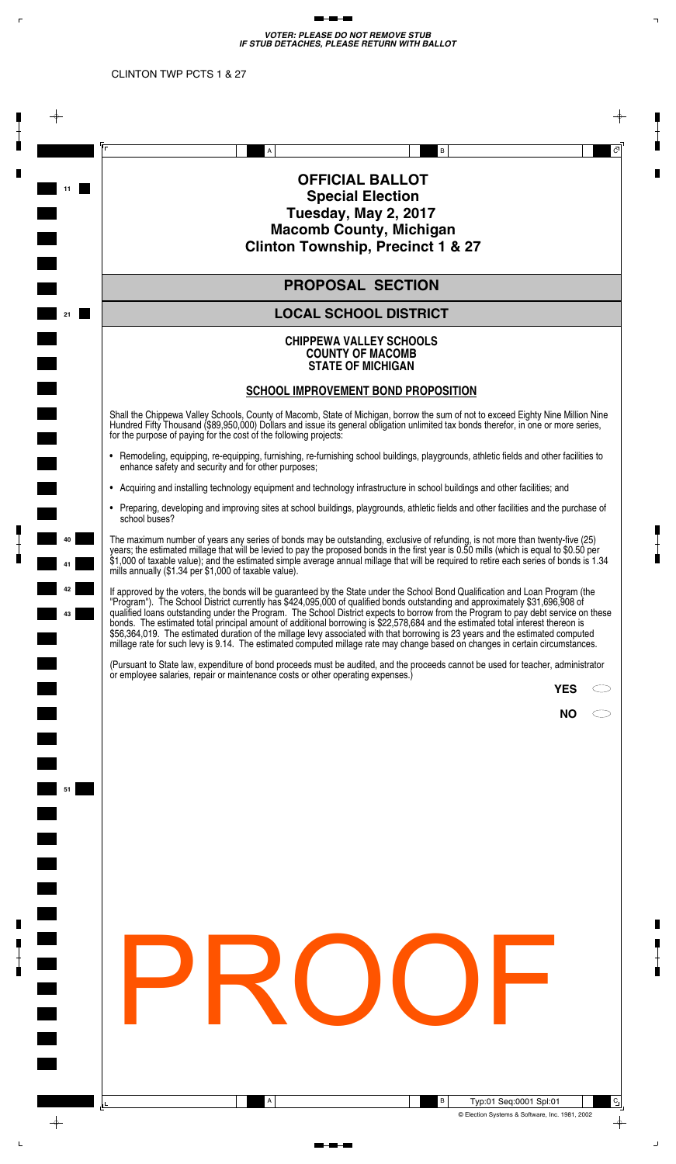#### **Special Election Tuesday, May 2, 2017 Macomb County, Michigan Ray Township, Precinct 2**

#### **PROPOSAL SECTION**

#### **LOCAL SCHOOL DISTRICT**

#### **NEW HAVEN COMMUNITY SCHOOLS**

**The Second** 

 $\mathbf{r}$ Н  $\mathbf{r}$ г

m.

 $\mathbf{r}$ 

#### **SINKING FUND MILLAGE PROPOSAL**

 Shall the limitation on the amount of taxes which may be assessed against all property in New Haven Community Schools, Macomb County, Michigan, be increased by and the board of education be authorized to levy not to exceed 1.2 mills (\$1.20 on each \$1,000 of taxable valuation) for a period of 10 years, 2017 to 2026, inclusive, to create a sinking fund for the construction or repair of school buildings, for school security improvements, for the acquisition or upgrading of technology and all other purposes authorized by law; the estimate of the revenue the school district will collect if the millage is approved and levied in 2017 is approximately \$695,531?

| <b>YES</b> |  |
|------------|--|
| ΝO         |  |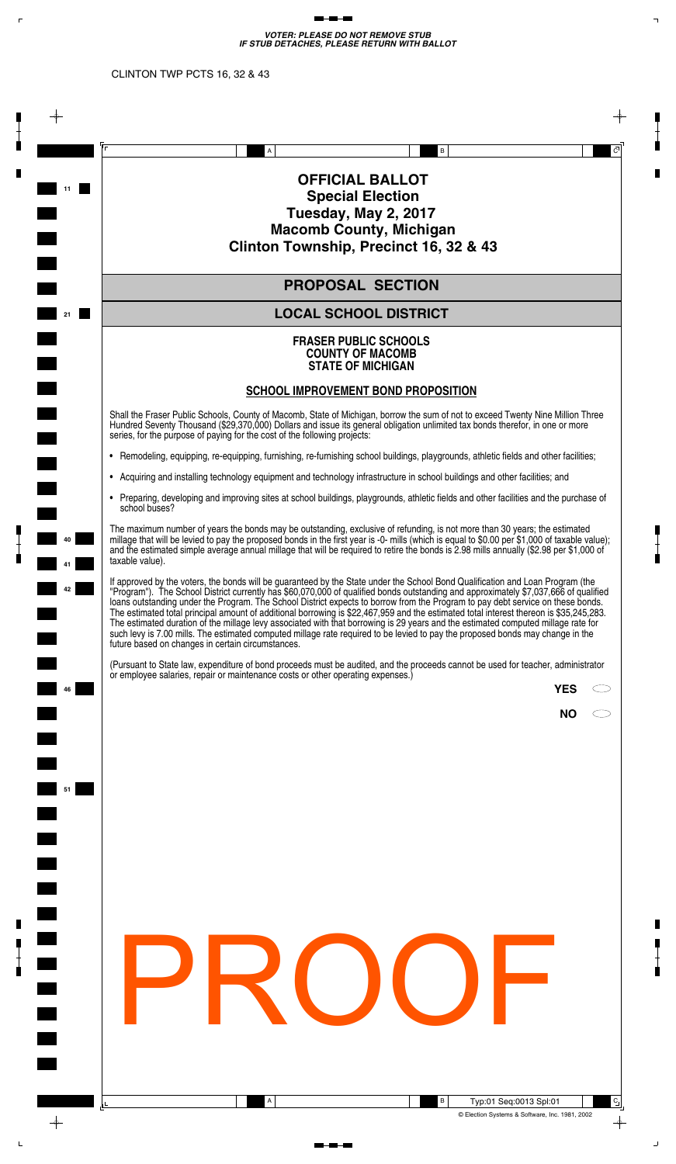*VOTER: PLEASE DO NOT REMOVE STUB IF STUB DETACHES, PLEASE RETURN WITH BALLOT*  $\mathbb{R}^n$ 

 $\begin{tabular}{ll} \multicolumn{3}{l}{{\color{blue}\textbf{m}+\textbf{m}-\textbf{m}}} \end{tabular}$ 

CLINTON TWP PCTS 1 & 27

 $\langle \Gamma \rangle$ 

Į

 $\frac{1}{\pi}$ 

П

П

 $\blacksquare$ 

 $\frac{1}{\blacksquare}$ 

 $\mathsf{L}$ 

|    |                                                                                                                                                                                                                                                                                                                                                                                                                                                                                                                                                                                                                                                                                                                                                                                                            | A |                                                                                                             | В                                            |                        | $\overline{C}$ |
|----|------------------------------------------------------------------------------------------------------------------------------------------------------------------------------------------------------------------------------------------------------------------------------------------------------------------------------------------------------------------------------------------------------------------------------------------------------------------------------------------------------------------------------------------------------------------------------------------------------------------------------------------------------------------------------------------------------------------------------------------------------------------------------------------------------------|---|-------------------------------------------------------------------------------------------------------------|----------------------------------------------|------------------------|----------------|
| 11 |                                                                                                                                                                                                                                                                                                                                                                                                                                                                                                                                                                                                                                                                                                                                                                                                            |   | <b>OFFICIAL BALLOT</b><br><b>Special Election</b><br>Tuesday, May 2, 2017<br><b>Macomb County, Michigan</b> | <b>Clinton Township, Precinct 1 &amp; 27</b> |                        |                |
|    |                                                                                                                                                                                                                                                                                                                                                                                                                                                                                                                                                                                                                                                                                                                                                                                                            |   | <b>PROPOSAL SECTION</b>                                                                                     |                                              |                        |                |
| 21 |                                                                                                                                                                                                                                                                                                                                                                                                                                                                                                                                                                                                                                                                                                                                                                                                            |   | <b>LOCAL SCHOOL DISTRICT</b>                                                                                |                                              |                        |                |
|    |                                                                                                                                                                                                                                                                                                                                                                                                                                                                                                                                                                                                                                                                                                                                                                                                            |   | <b>CHIPPEWA VALLEY SCHOOLS</b><br><b>COUNTY OF MACOMB</b><br><b>STATE OF MICHIGAN</b>                       |                                              |                        |                |
|    |                                                                                                                                                                                                                                                                                                                                                                                                                                                                                                                                                                                                                                                                                                                                                                                                            |   |                                                                                                             | <b>SCHOOL IMPROVEMENT BOND PROPOSITION</b>   |                        |                |
|    | Shall the Chippewa Valley Schools, County of Macomb, State of Michigan, borrow the sum of not to exceed Eighty Nine Million Nine<br>Hundred Fifty Thousand (\$89,950,000) Dollars and issue its general obligation unlimited tax bonds therefor, in one or more series,<br>for the purpose of paying for the cost of the following projects:                                                                                                                                                                                                                                                                                                                                                                                                                                                               |   |                                                                                                             |                                              |                        |                |
|    | • Remodeling, equipping, re-equipping, furnishing, re-furnishing school buildings, playgrounds, athletic fields and other facilities to<br>enhance safety and security and for other purposes;                                                                                                                                                                                                                                                                                                                                                                                                                                                                                                                                                                                                             |   |                                                                                                             |                                              |                        |                |
|    | • Acquiring and installing technology equipment and technology infrastructure in school buildings and other facilities; and                                                                                                                                                                                                                                                                                                                                                                                                                                                                                                                                                                                                                                                                                |   |                                                                                                             |                                              |                        |                |
|    | • Preparing, developing and improving sites at school buildings, playgrounds, athletic fields and other facilities and the purchase of<br>school buses?                                                                                                                                                                                                                                                                                                                                                                                                                                                                                                                                                                                                                                                    |   |                                                                                                             |                                              |                        |                |
|    | The maximum number of years any series of bonds may be outstanding, exclusive of refunding, is not more than twenty-five (25)<br>years; the estimated millage that will be levied to pay the proposed bonds in the first year is 0.50 mills (which is equal to \$0.50 per<br>\$1,000 of taxable value); and the estimated simple average annual millage that will be required to retire each series of bonds is 1.34<br>mills annually (\$1.34 per \$1,000 of taxable value).                                                                                                                                                                                                                                                                                                                              |   |                                                                                                             |                                              |                        |                |
| 42 | If approved by the voters, the bonds will be guaranteed by the State under the School Bond Qualification and Loan Program (the<br>"Program"). The School District currently has \$424,095,000 of qualified bonds outstanding and approximately \$31,696,908 of<br>qualified loans outstanding under the Program. The School District expects to borrow from the Program to pay debt service on these<br>bonds. The estimated total principal amount of additional borrowing is \$22,578,684 and the estimated total interest thereon is<br>\$56,364,019. The estimated duration of the millage levy associated with that borrowing is 23 years and the estimated computed<br>millage rate for such levy is 9.14. The estimated computed millage rate may change based on changes in certain circumstances. |   |                                                                                                             |                                              |                        |                |
|    | (Pursuant to State law, expenditure of bond proceeds must be audited, and the proceeds cannot be used for teacher, administrator<br>or employee salaries, repair or maintenance costs or other operating expenses.)                                                                                                                                                                                                                                                                                                                                                                                                                                                                                                                                                                                        |   |                                                                                                             |                                              |                        |                |
|    |                                                                                                                                                                                                                                                                                                                                                                                                                                                                                                                                                                                                                                                                                                                                                                                                            |   |                                                                                                             |                                              |                        | <b>YES</b>     |
|    |                                                                                                                                                                                                                                                                                                                                                                                                                                                                                                                                                                                                                                                                                                                                                                                                            |   |                                                                                                             |                                              |                        | <b>NO</b>      |
|    |                                                                                                                                                                                                                                                                                                                                                                                                                                                                                                                                                                                                                                                                                                                                                                                                            |   |                                                                                                             |                                              |                        |                |
|    |                                                                                                                                                                                                                                                                                                                                                                                                                                                                                                                                                                                                                                                                                                                                                                                                            |   |                                                                                                             |                                              |                        |                |
|    |                                                                                                                                                                                                                                                                                                                                                                                                                                                                                                                                                                                                                                                                                                                                                                                                            |   |                                                                                                             |                                              |                        |                |
|    |                                                                                                                                                                                                                                                                                                                                                                                                                                                                                                                                                                                                                                                                                                                                                                                                            |   |                                                                                                             |                                              |                        |                |
|    |                                                                                                                                                                                                                                                                                                                                                                                                                                                                                                                                                                                                                                                                                                                                                                                                            |   |                                                                                                             |                                              |                        |                |
|    |                                                                                                                                                                                                                                                                                                                                                                                                                                                                                                                                                                                                                                                                                                                                                                                                            |   |                                                                                                             |                                              |                        |                |
|    |                                                                                                                                                                                                                                                                                                                                                                                                                                                                                                                                                                                                                                                                                                                                                                                                            |   |                                                                                                             |                                              |                        |                |
|    |                                                                                                                                                                                                                                                                                                                                                                                                                                                                                                                                                                                                                                                                                                                                                                                                            |   |                                                                                                             |                                              |                        |                |
|    |                                                                                                                                                                                                                                                                                                                                                                                                                                                                                                                                                                                                                                                                                                                                                                                                            |   |                                                                                                             |                                              |                        |                |
|    |                                                                                                                                                                                                                                                                                                                                                                                                                                                                                                                                                                                                                                                                                                                                                                                                            |   |                                                                                                             |                                              |                        |                |
|    |                                                                                                                                                                                                                                                                                                                                                                                                                                                                                                                                                                                                                                                                                                                                                                                                            |   |                                                                                                             |                                              |                        |                |
|    |                                                                                                                                                                                                                                                                                                                                                                                                                                                                                                                                                                                                                                                                                                                                                                                                            |   |                                                                                                             |                                              |                        |                |
|    |                                                                                                                                                                                                                                                                                                                                                                                                                                                                                                                                                                                                                                                                                                                                                                                                            | А |                                                                                                             | В                                            | Typ:01 Seq:0001 Spl:01 |                |